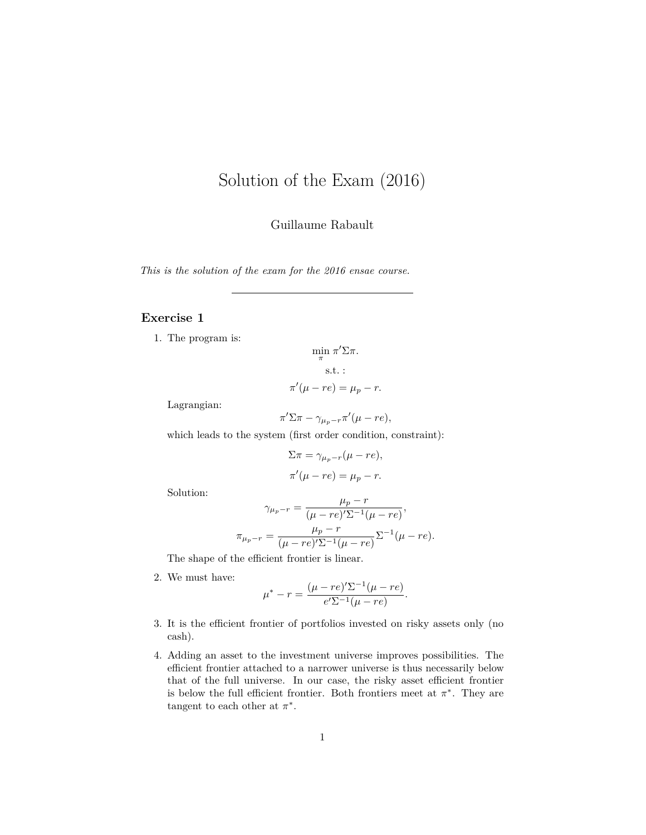## <span id="page-0-0"></span>Solution of the Exam (2016)

Guillaume Rabault

*This is the solution of the exam for the 2016 ensae course.*

## **Exercise 1**

1. The program is:

$$
\min_{\pi} \pi' \Sigma \pi.
$$
  
s.t. :  

$$
\pi'(\mu - re) = \mu_p - r.
$$

Lagrangian:

 $\pi' \Sigma \pi - \gamma_{\mu_p-r} \pi'(\mu-re),$ 

which leads to the system (first order condition, constraint):

$$
\Sigma \pi = \gamma_{\mu_p - r}(\mu - re),
$$
  

$$
\pi'(\mu - re) = \mu_p - r.
$$

Solution:

$$
\gamma_{\mu_p - r} = \frac{\mu_p - r}{(\mu - re)'\Sigma^{-1}(\mu - re)},
$$

$$
\pi_{\mu_p - r} = \frac{\mu_p - r}{(\mu - re)'\Sigma^{-1}(\mu - re)}\Sigma^{-1}(\mu - re).
$$

The shape of the efficient frontier is linear.

2. We must have:

$$
\mu^* - r = \frac{(\mu - re)'\Sigma^{-1}(\mu - re)}{e'\Sigma^{-1}(\mu - re)}.
$$

- 3. It is the efficient frontier of portfolios invested on risky assets only (no cash).
- 4. Adding an asset to the investment universe improves possibilities. The efficient frontier attached to a narrower universe is thus necessarily below that of the full universe. In our case, the risky asset efficient frontier is below the full efficient frontier. Both frontiers meet at  $\pi^*$ . They are tangent to each other at  $\pi^*$ .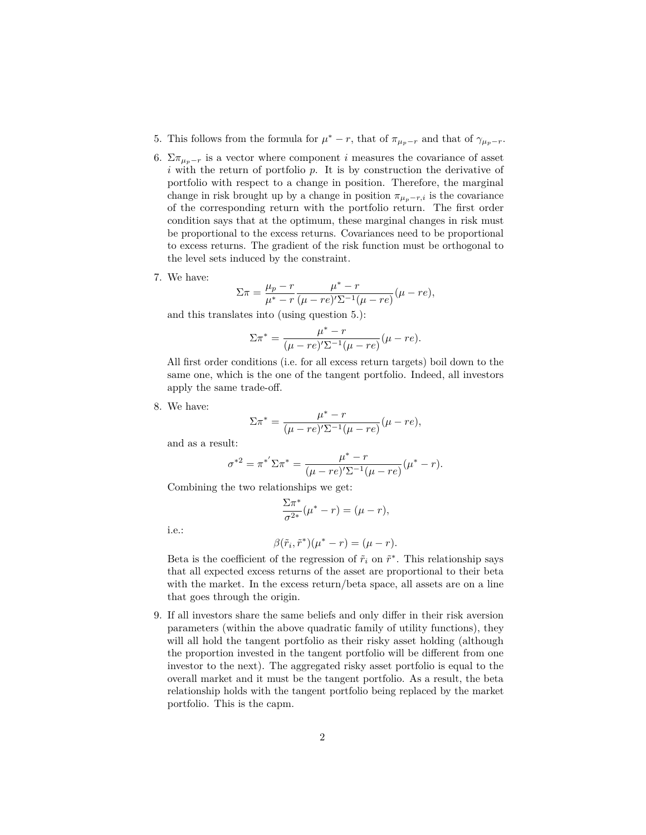- 5. This follows from the formula for  $\mu^* r$ , that of  $\pi_{\mu_p r}$  and that of  $\gamma_{\mu_p r}$ .
- 6.  $\Sigma \pi_{\mu_p-r}$  is a vector where component *i* measures the covariance of asset *i* with the return of portfolio *p*. It is by construction the derivative of portfolio with respect to a change in position. Therefore, the marginal change in risk brought up by a change in position  $\pi_{\mu_p-r,i}$  is the covariance of the corresponding return with the portfolio return. The first order condition says that at the optimum, these marginal changes in risk must be proportional to the excess returns. Covariances need to be proportional to excess returns. The gradient of the risk function must be orthogonal to the level sets induced by the constraint.
- 7. We have:

$$
\Sigma \pi = \frac{\mu_p - r}{\mu^* - r} \frac{\mu^* - r}{(\mu - re) \Sigma^{-1} (\mu - re)} (\mu - re),
$$

and this translates into (using question 5.):

$$
\Sigma \pi^* = \frac{\mu^* - r}{(\mu - re)'\Sigma^{-1}(\mu - re)}(\mu - re).
$$

All first order conditions (i.e. for all excess return targets) boil down to the same one, which is the one of the tangent portfolio. Indeed, all investors apply the same trade-off.

8. We have:

$$
\Sigma \pi^* = \frac{\mu^* - r}{(\mu - re)' \Sigma^{-1} (\mu - re)} (\mu - re),
$$

and as a result:

$$
\sigma^{*2} = \pi^{*'} \Sigma \pi^* = \frac{\mu^* - r}{(\mu - re)' \Sigma^{-1} (\mu - re)} (\mu^* - r).
$$

Combining the two relationships we get:

$$
\frac{\Sigma \pi^*}{\sigma^{2*}} (\mu^* - r) = (\mu - r),
$$

i.e.:

$$
\beta(\tilde{r}_i, \tilde{r}^*)(\mu^* - r) = (\mu - r).
$$

Beta is the coefficient of the regression of  $\tilde{r}_i$  on  $\tilde{r}^*$ . This relationship says that all expected excess returns of the asset are proportional to their beta with the market. In the excess return/beta space, all assets are on a line that goes through the origin.

9. If all investors share the same beliefs and only differ in their risk aversion parameters (within the above quadratic family of utility functions), they will all hold the tangent portfolio as their risky asset holding (although the proportion invested in the tangent portfolio will be different from one investor to the next). The aggregated risky asset portfolio is equal to the overall market and it must be the tangent portfolio. As a result, the beta relationship holds with the tangent portfolio being replaced by the market portfolio. This is the capm.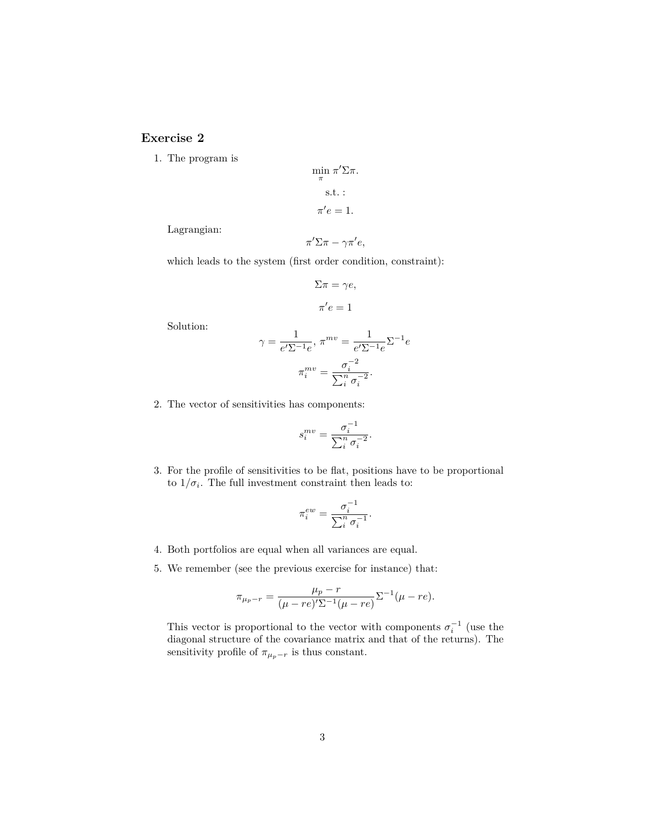## **Exercise 2**

1. The program is

Lagrangian:

$$
\min_{\pi} \pi' \Sigma \pi.
$$
  
s.t. :  

$$
\pi' e = 1.
$$
  

$$
\pi' \Sigma \pi - \gamma \pi' e,
$$

which leads to the system (first order condition, constraint):

$$
\Sigma \pi = \gamma e,
$$

$$
\pi' e = 1
$$

Solution:

$$
\gamma = \frac{1}{e'\Sigma^{-1}e}, \pi^{mv} = \frac{1}{e'\Sigma^{-1}e}\Sigma^{-1}e
$$

$$
\pi_i^{mv} = \frac{\sigma_i^{-2}}{\sum_i^m \sigma_i^{-2}}.
$$

2. The vector of sensitivities has components:

$$
s_i^{mv} = \frac{\sigma_i^{-1}}{\sum_i^n \sigma_i^{-2}}.
$$

3. For the profile of sensitivities to be flat, positions have to be proportional to  $1/\sigma_i$ . The full investment constraint then leads to:

$$
\pi_i^{ew} = \frac{\sigma_i^{-1}}{\sum_i^n \sigma_i^{-1}}.
$$

- 4. Both portfolios are equal when all variances are equal.
- 5. We remember (see the previous exercise for instance) that:

$$
\pi_{\mu_p-r} = \frac{\mu_p - r}{(\mu - re)'\Sigma^{-1}(\mu - re)} \Sigma^{-1}(\mu - re).
$$

This vector is proportional to the vector with components  $\sigma_i^{-1}$  (use the diagonal structure of the covariance matrix and that of the returns). The sensitivity profile of  $\pi_{\mu_p-r}$  is thus constant.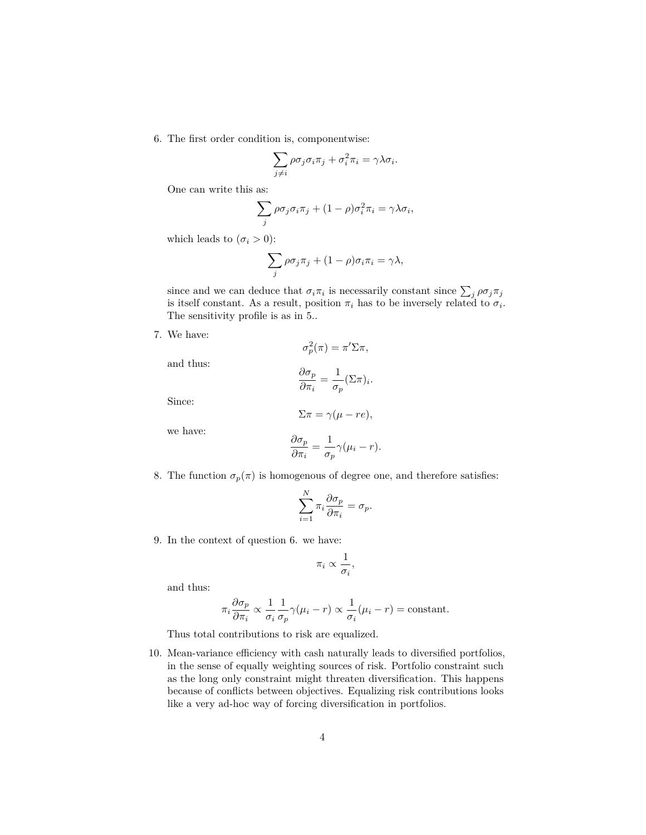6. The first order condition is, componentwise:

$$
\sum_{j\neq i} \rho \sigma_j \sigma_i \pi_j + \sigma_i^2 \pi_i = \gamma \lambda \sigma_i.
$$

One can write this as:

$$
\sum_{j} \rho \sigma_j \sigma_i \pi_j + (1 - \rho) \sigma_i^2 \pi_i = \gamma \lambda \sigma_i,
$$

which leads to  $(\sigma_i > 0)$ :

$$
\sum_{j} \rho \sigma_j \pi_j + (1 - \rho) \sigma_i \pi_i = \gamma \lambda,
$$

since and we can deduce that  $\sigma_i \pi_i$  is necessarily constant since  $\sum_j \rho \sigma_j \pi_j$ is itself constant. As a result, position  $\pi_i$  has to be inversely related to  $\sigma_i$ . The sensitivity profile is as in 5..

7. We have:

and thus:

$$
\sigma_p^2(\pi) = \pi' \Sigma \pi,
$$

$$
\frac{\partial \sigma_p}{\partial \pi_i} = \frac{1}{\sigma_p} (\Sigma \pi)_i
$$

Since:

$$
\Sigma \pi = \gamma(\mu - re),
$$

*.*

we have:

$$
\frac{\partial \sigma_p}{\partial \pi_i} = \frac{1}{\sigma_p} \gamma (\mu_i - r).
$$

8. The function  $\sigma_p(\pi)$  is homogenous of degree one, and therefore satisfies:

$$
\sum_{i=1}^N \pi_i \frac{\partial \sigma_p}{\partial \pi_i} = \sigma_p.
$$

9. In the context of question 6. we have:

$$
\pi_i \propto \frac{1}{\sigma_i},
$$

and thus:

$$
\pi_i \frac{\partial \sigma_p}{\partial \pi_i} \propto \frac{1}{\sigma_i} \frac{1}{\sigma_p} \gamma(\mu_i - r) \propto \frac{1}{\sigma_i} (\mu_i - r) = \text{constant}.
$$

Thus total contributions to risk are equalized.

10. Mean-variance efficiency with cash naturally leads to diversified portfolios, in the sense of equally weighting sources of risk. Portfolio constraint such as the long only constraint might threaten diversification. This happens because of conflicts between objectives. Equalizing risk contributions looks like a very ad-hoc way of forcing diversification in portfolios.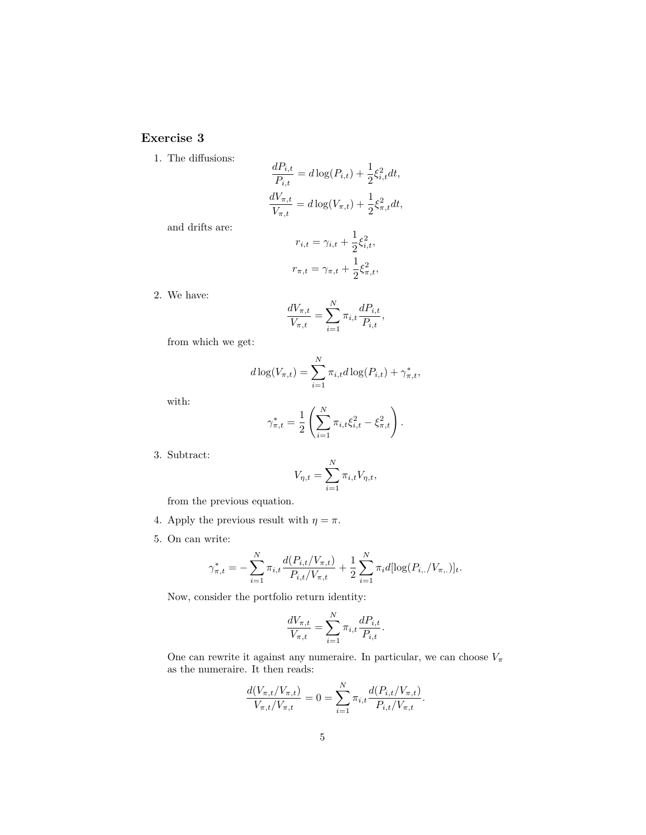## **Exercise 3**

1. The diffusions:

$$
\frac{dP_{i,t}}{P_{i,t}} = d\log(P_{i,t}) + \frac{1}{2}\xi_{i,t}^2 dt,
$$
  

$$
\frac{dV_{\pi,t}}{V_{\pi,t}} = d\log(V_{\pi,t}) + \frac{1}{2}\xi_{\pi,t}^2 dt,
$$

and drifts are:

$$
r_{i,t} = \gamma_{i,t} + \frac{1}{2}\xi_{i,t}^2,
$$
  

$$
r_{\pi,t} = \gamma_{\pi,t} + \frac{1}{2}\xi_{\pi,t}^2,
$$

2. We have:

$$
\frac{dV_{\pi,t}}{V_{\pi,t}} = \sum_{i=1}^{N} \pi_{i,t} \frac{dP_{i,t}}{P_{i,t}},
$$

from which we get:

$$
d \log(V_{\pi,t}) = \sum_{i=1}^{N} \pi_{i,t} d \log(P_{i,t}) + \gamma_{\pi,t}^*,
$$

with:

$$
\gamma_{\pi,t}^* = \frac{1}{2} \left( \sum_{i=1}^N \pi_{i,t} \xi_{i,t}^2 - \xi_{\pi,t}^2 \right).
$$

3. Subtract:

$$
V_{\eta,t} = \sum_{i=1}^N \pi_{i,t} V_{\eta,t},
$$

from the previous equation.

- 4. Apply the previous result with  $\eta = \pi$ .
- 5. On can write:

$$
\gamma_{\pi,t}^* = -\sum_{i=1}^N \pi_{i,t} \frac{d(P_{i,t}/V_{\pi,t})}{P_{i,t}/V_{\pi,t}} + \frac{1}{2} \sum_{i=1}^N \pi_i d[\log(P_{i,\cdot}/V_{\pi,\cdot})]_t.
$$

Now, consider the portfolio return identity:

$$
\frac{dV_{\pi,t}}{V_{\pi,t}} = \sum_{i=1}^{N} \pi_{i,t} \frac{dP_{i,t}}{P_{i,t}}.
$$

One can rewrite it against any numeraire. In particular, we can choose  $V_{\pi}$ as the numeraire. It then reads:

$$
\frac{d(V_{\pi,t}/V_{\pi,t})}{V_{\pi,t}/V_{\pi,t}} = 0 = \sum_{i=1}^{N} \pi_{i,t} \frac{d(P_{i,t}/V_{\pi,t})}{P_{i,t}/V_{\pi,t}}.
$$